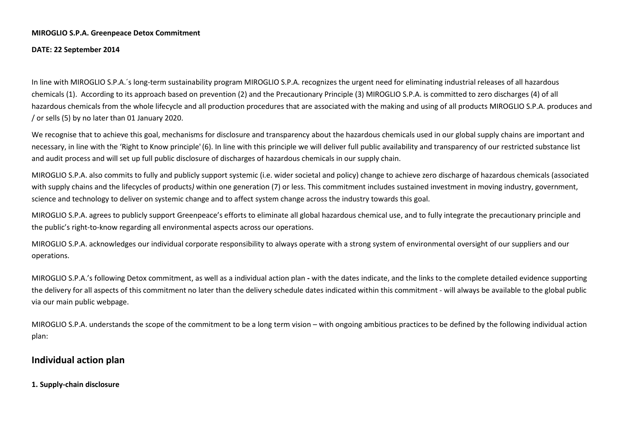### **MIROGLIO S.P.A. Greenpeace Detox Commitment**

**DATE: 22 September 2014** 

In line with MIROGLIO S.P.A.´s long-term sustainability program MIROGLIO S.P.A. recognizes the urgent need for eliminating industrial releases of all hazardouschemicals (1). According to its approach based on prevention (2) and the Precautionary Principle (3) MIROGLIO S.P.A. is committed to zero discharges (4) of all hazardous chemicals from the whole lifecycle and all production procedures that are associated with the making and using of all products MIROGLIO S.P.A. produces and / or sells (5) by no later than 01 January 2020.

We recognise that to achieve this goal, mechanisms for disclosure and transparency about the hazardous chemicals used in our global supply chains are important and necessary, in line with the 'Right to Know principle'(6). In line with this principle we will deliver full public availability and transparency of our restricted substance list and audit process and will set up full public disclosure of discharges of hazardous chemicals in our supply chain.

MIROGLIO S.P.A. also commits to fully and publicly support systemic (i.e. wider societal and policy) change to achieve zero discharge of hazardous chemicals (associated with supply chains and the lifecycles of products) within one generation (7) or less. This commitment includes sustained investment in moving industry, government, science and technology to deliver on systemic change and to affect system change across the industry towards this goal.

MIROGLIO S.P.A. agrees to publicly support Greenpeace's efforts to eliminate all global hazardous chemical use, and to fully integrate the precautionary principle and the public's right-to-know regarding all environmental aspects across our operations.

MIROGLIO S.P.A. acknowledges our individual corporate responsibility to always operate with a strong system of environmental oversight of our suppliers and our operations.

MIROGLIO S.P.A.'s following Detox commitment, as well as a individual action plan **-** with the dates indicate, and the links to the complete detailed evidence supporting the delivery for all aspects of this commitment no later than the delivery schedule dates indicated within this commitment - will always be available to the global public via our main public webpage.

MIROGLIO S.P.A. understands the scope of the commitment to be a long term vision – with ongoing ambitious practices to be defined by the following individual action plan:

# **Individual action plan**

**1. Supply-chain disclosure**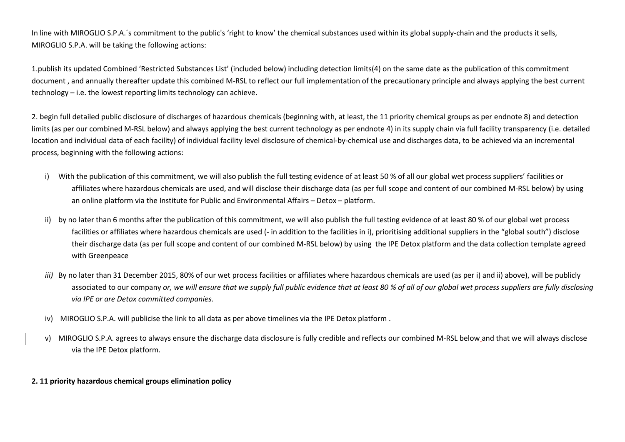In line with MIROGLIO S.P.A.´s commitment to the public's 'right to know' the chemical substances used within its global supply-chain and the products it sells, MIROGLIO S.P.A. will be taking the following actions:

1.publish its updated Combined 'Restricted Substances List' (included below) including detection limits(4) on the same date as the publication of this commitment document , and annually thereafter update this combined M-RSL to reflect our full implementation of the precautionary principle and always applying the best current technology – i.e. the lowest reporting limits technology can achieve.

2. begin full detailed public disclosure of discharges of hazardous chemicals (beginning with, at least, the 11 priority chemical groups as per endnote 8) and detection limits (as per our combined M-RSL below) and always applying the best current technology as per endnote 4) in its supply chain via full facility transparency (i.e. detailed location and individual data of each facility) of individual facility level disclosure of chemical-by-chemical use and discharges data, to be achieved via an incremental process, beginning with the following actions:

- i) With the publication of this commitment, we will also publish the full testing evidence of at least 50 % of all our global wet process suppliers' facilities or affiliates where hazardous chemicals are used, and will disclose their discharge data (as per full scope and content of our combined M-RSL below) by using an online platform via the Institute for Public and Environmental Affairs – Detox – platform.
- ii) by no later than 6 months after the publication of this commitment, we will also publish the full testing evidence of at least 80 % of our global wet process facilities or affiliates where hazardous chemicals are used (- in addition to the facilities in i), prioritising additional suppliers in the "global south") disclose their discharge data (as per full scope and content of our combined M-RSL below) by using the IPE Detox platform and the data collection template agreed with Greenpeace
- *iii)* By no later than 31 December 2015, 80% of our wet process facilities or affiliates where hazardous chemicals are used (as per i) and ii) above), will be publicly associated to our company *or, we will ensure that we supply full public evidence that at least 80 % of all of our global wet process suppliers are fully disclosing via IPE or are Detox committed companies.*
- iv) MIROGLIO S.P.A. will publicise the link to all data as per above timelines via the IPE Detox platform .
- v) MIROGLIO S.P.A. agrees to always ensure the discharge data disclosure is fully credible and reflects our combined M-RSL below and that we will always disclose via the IPE Detox platform.

# **2. 11 priority hazardous chemical groups elimination policy**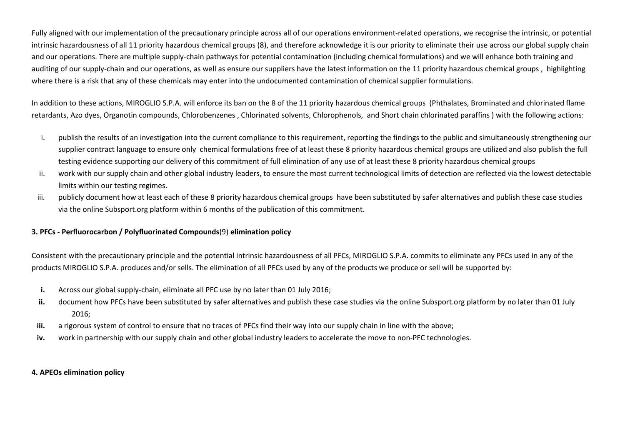Fully aligned with our implementation of the precautionary principle across all of our operations environment-related operations, we recognise the intrinsic, or potential intrinsic hazardousness of all 11 priority hazardous chemical groups (8), and therefore acknowledge it is our priority to eliminate their use across our global supply chain and our operations. There are multiple supply-chain pathways for potential contamination (including chemical formulations) and we will enhance both training and auditing of our supply-chain and our operations, as well as ensure our suppliers have the latest information on the 11 priority hazardous chemical groups, highlighting where there is a risk that any of these chemicals may enter into the undocumented contamination of chemical supplier formulations.

In addition to these actions, MIROGLIO S.P.A. will enforce its ban on the 8 of the 11 priority hazardous chemical groups (Phthalates, Brominated and chlorinated flame retardants, Azo dyes, Organotin compounds, Chlorobenzenes , Chlorinated solvents, Chlorophenols, and Short chain chlorinated paraffins ) with the following actions:

- i. publish the results of an investigation into the current compliance to this requirement, reporting the findings to the public and simultaneously strengthening our supplier contract language to ensure only chemical formulations free of at least these 8 priority hazardous chemical groups are utilized and also publish the full testing evidence supporting our delivery of this commitment of full elimination of any use of at least these 8 priority hazardous chemical groups
- ii. work with our supply chain and other global industry leaders, to ensure the most current technological limits of detection are reflected via the lowest detectable limits within our testing regimes.
- iii. publicly document how at least each of these 8 priority hazardous chemical groups have been substituted by safer alternatives and publish these case studies via the online Subsport.org platform within 6 months of the publication of this commitment.

## **3. PFCs - Perfluorocarbon / Polyfluorinated Compounds**(9) **elimination policy**

Consistent with the precautionary principle and the potential intrinsic hazardousness of all PFCs, MIROGLIO S.P.A. commits to eliminate any PFCs used in any of the products MIROGLIO S.P.A. produces and/or sells. The elimination of all PFCs used by any of the products we produce or sell will be supported by:

- **i.**Across our global supply-chain, eliminate all PFC use by no later than 01 July 2016;
- **ii.** document how PFCs have been substituted by safer alternatives and publish these case studies via the online Subsport.org platform by no later than 01 July 2016;
- **iii.**a rigorous system of control to ensure that no traces of PFCs find their way into our supply chain in line with the above;
- **iv.**work in partnership with our supply chain and other global industry leaders to accelerate the move to non-PFC technologies.

## **4. APEOs elimination policy**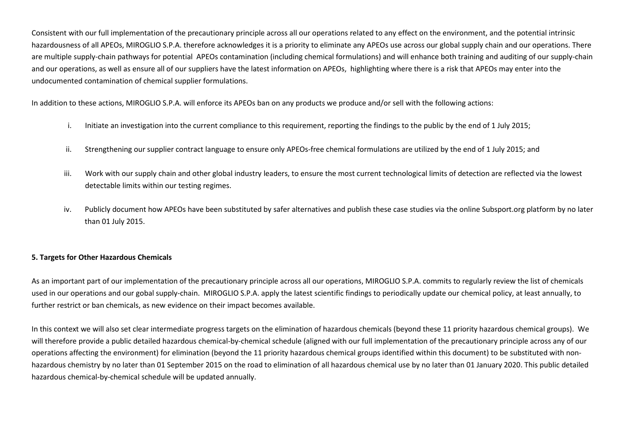Consistent with our full implementation of the precautionary principle across all our operations related to any effect on the environment, and the potential intrinsic hazardousness of all APEOs, MIROGLIO S.P.A. therefore acknowledges it is a priority to eliminate any APEOs use across our global supply chain and our operations. There are multiple supply-chain pathways for potential APEOs contamination (including chemical formulations) and will enhance both training and auditing of our supply-chain and our operations, as well as ensure all of our suppliers have the latest information on APEOs, highlighting where there is a risk that APEOs may enter into the undocumented contamination of chemical supplier formulations.

In addition to these actions, MIROGLIO S.P.A. will enforce its APEOs ban on any products we produce and/or sell with the following actions:

- i.Initiate an investigation into the current compliance to this requirement, reporting the findings to the public by the end of 1 July 2015;
- ii.Strengthening our supplier contract language to ensure only APEOs-free chemical formulations are utilized by the end of 1 July 2015; and
- iii. Work with our supply chain and other global industry leaders, to ensure the most current technological limits of detection are reflected via the lowest detectable limits within our testing regimes.
- iv. Publicly document how APEOs have been substituted by safer alternatives and publish these case studies via the online Subsport.org platform by no later than 01 July 2015.

# **5. Targets for Other Hazardous Chemicals**

As an important part of our implementation of the precautionary principle across all our operations, MIROGLIO S.P.A. commits to regularly review the list of chemicals used in our operations and our gobal supply-chain. MIROGLIO S.P.A. apply the latest scientific findings to periodically update our chemical policy, at least annually, to further restrict or ban chemicals, as new evidence on their impact becomes available.

In this context we will also set clear intermediate progress targets on the elimination of hazardous chemicals (beyond these 11 priority hazardous chemical groups). We will therefore provide a public detailed hazardous chemical-by-chemical schedule (aligned with our full implementation of the precautionary principle across any of our operations affecting the environment) for elimination (beyond the 11 priority hazardous chemical groups identified within this document) to be substituted with nonhazardous chemistry by no later than 01 September 2015 on the road to elimination of all hazardous chemical use by no later than 01 January 2020. This public detailed hazardous chemical-by-chemical schedule will be updated annually.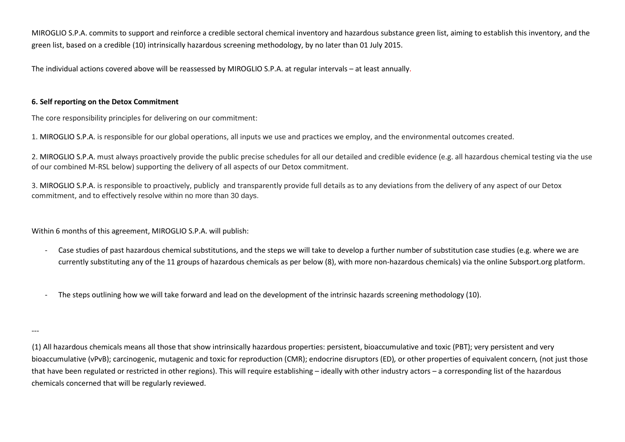MIROGLIO S.P.A. commits to support and reinforce a credible sectoral chemical inventory and hazardous substance green list, aiming to establish this inventory, and the green list, based on a credible (10) intrinsically hazardous screening methodology, by no later than 01 July 2015.

The individual actions covered above will be reassessed by MIROGLIO S.P.A. at regular intervals – at least annually.

## **6. Self reporting on the Detox Commitment**

The core responsibility principles for delivering on our commitment:

1. MIROGLIO S.P.A. is responsible for our global operations, all inputs we use and practices we employ, and the environmental outcomes created.

2. MIROGLIO S.P.A. must always proactively provide the public precise schedules for all our detailed and credible evidence (e.g. all hazardous chemical testing via the use of our combined M-RSL below) supporting the delivery of all aspects of our Detox commitment.

3. MIROGLIO S.P.A. is responsible to proactively, publicly and transparently provide full details as to any deviations from the delivery of any aspect of our Detox commitment, and to effectively resolve within no more than 30 days.

Within 6 months of this agreement, MIROGLIO S.P.A. will publish:

- - Case studies of past hazardous chemical substitutions, and the steps we will take to develop a further number of substitution case studies (e.g. where we are currently substituting any of the 11 groups of hazardous chemicals as per below (8), with more non-hazardous chemicals) via the online Subsport.org platform.
- The steps outlining how we will take forward and lead on the development of the intrinsic hazards screening methodology (10).

(1) All hazardous chemicals means all those that show intrinsically hazardous properties: persistent, bioaccumulative and toxic (PBT); very persistent and very bioaccumulative (vPvB); carcinogenic, mutagenic and toxic for reproduction (CMR); endocrine disruptors (ED)*,* or other properties of equivalent concern*,* (not just those that have been regulated or restricted in other regions). This will require establishing – ideally with other industry actors – a corresponding list of the hazardous chemicals concerned that will be regularly reviewed.

<sup>---</sup>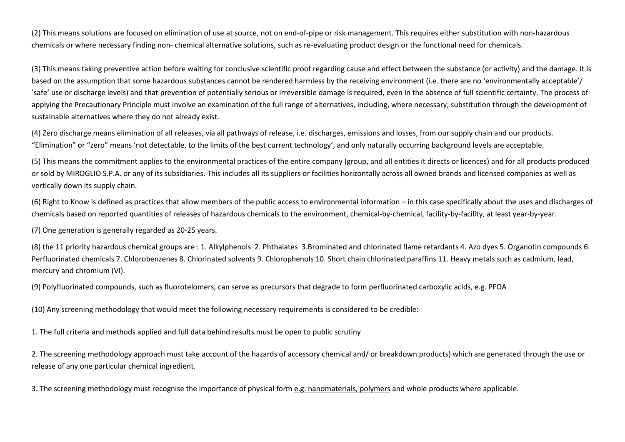(2) This means solutions are focused on elimination of use at source, not on end-of-pipe or risk management. This requires either substitution with non-hazardous chemicals or where necessary finding non- chemical alternative solutions, such as re-evaluating product design or the functional need for chemicals.

(3) This means taking preventive action before waiting for conclusive scientific proof regarding cause and effect between the substance (or activity) and the damage. It is based on the assumption that some hazardous substances cannot be rendered harmless by the receiving environment (i.e. there are no 'environmentally acceptable'/'safe' use or discharge levels) and that prevention of potentially serious or irreversible damage is required, even in the absence of full scientific certainty. The process of applying the Precautionary Principle must involve an examination of the full range of alternatives, including, where necessary, substitution through the development of sustainable alternatives where they do not already exist.

(4) Zero discharge means elimination of all releases, via all pathways of release, i.e. discharges, emissions and losses, from our supply chain and our products. "Elimination" or "zero" means 'not detectable, to the limits of the best current technology', and only naturally occurring background levels are acceptable.

(5) This means the commitment applies to the environmental practices of the entire company (group, and all entities it directs or licences) and for all products produced or sold by MIROGLIO S.P.A. or any of its subsidiaries. This includes all its suppliers or facilities horizontally across all owned brands and licensed companies as well as vertically down its supply chain.

(6) Right to Know is defined as practices that allow members of the public access to environmental information – in this case specifically about the uses and discharges of chemicals based on reported quantities of releases of hazardous chemicals to the environment, chemical-by-chemical, facility-by-facility, at least year-by-year.

(7) One generation is generally regarded as 20-25 years.

(8) the 11 priority hazardous chemical groups are : 1. Alkylphenols 2. Phthalates 3.Brominated and chlorinated flame retardants 4. Azo dyes 5. Organotin compounds 6. Perfluorinated chemicals 7. Chlorobenzenes 8. Chlorinated solvents 9. Chlorophenols 10. Short chain chlorinated paraffins 11. Heavy metals such as cadmium, lead,mercury and chromium (VI).

(9) Polyfluorinated compounds, such as fluorotelomers, can serve as precursors that degrade to form perfluorinated carboxylic acids, e.g. PFOA

(10) Any screening methodology that would meet the following necessary requirements is considered to be credible:

1. The full criteria and methods applied and full data behind results must be open to public scrutiny

2. The screening methodology approach must take account of the hazards of accessory chemical and/ or breakdown products) which are generated through the use orrelease of any one particular chemical ingredient.

3. The screening methodology must recognise the importance of physical form e.g. nanomaterials, polymers and whole products where applicable.